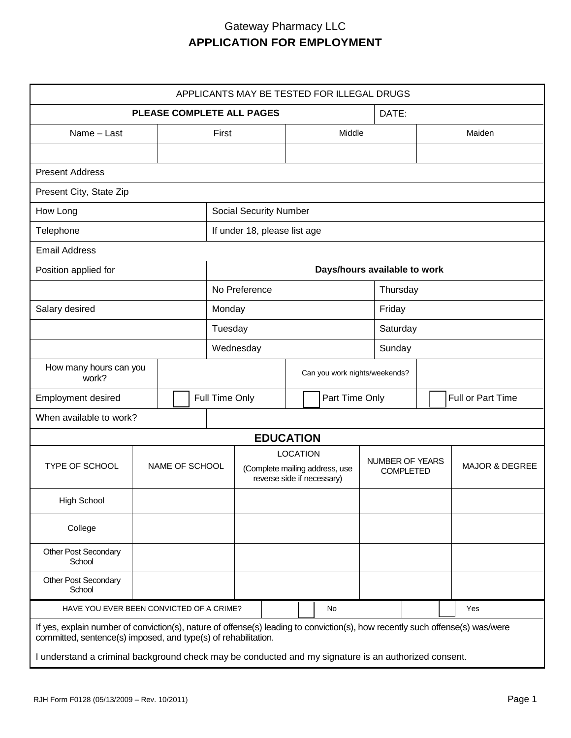| APPLICANTS MAY BE TESTED FOR ILLEGAL DRUGS                                                                                                                                                                                                                                                              |  |  |                |                               |                                                                                 |                  |  |        |                                     |  |                           |     |        |  |  |
|---------------------------------------------------------------------------------------------------------------------------------------------------------------------------------------------------------------------------------------------------------------------------------------------------------|--|--|----------------|-------------------------------|---------------------------------------------------------------------------------|------------------|--|--------|-------------------------------------|--|---------------------------|-----|--------|--|--|
| <b>PLEASE COMPLETE ALL PAGES</b>                                                                                                                                                                                                                                                                        |  |  |                |                               |                                                                                 |                  |  | DATE:  |                                     |  |                           |     |        |  |  |
| Name - Last                                                                                                                                                                                                                                                                                             |  |  |                |                               | First                                                                           |                  |  | Middle |                                     |  |                           |     | Maiden |  |  |
|                                                                                                                                                                                                                                                                                                         |  |  |                |                               |                                                                                 |                  |  |        |                                     |  |                           |     |        |  |  |
| <b>Present Address</b>                                                                                                                                                                                                                                                                                  |  |  |                |                               |                                                                                 |                  |  |        |                                     |  |                           |     |        |  |  |
| Present City, State Zip                                                                                                                                                                                                                                                                                 |  |  |                |                               |                                                                                 |                  |  |        |                                     |  |                           |     |        |  |  |
| How Long                                                                                                                                                                                                                                                                                                |  |  |                | <b>Social Security Number</b> |                                                                                 |                  |  |        |                                     |  |                           |     |        |  |  |
| Telephone                                                                                                                                                                                                                                                                                               |  |  |                | If under 18, please list age  |                                                                                 |                  |  |        |                                     |  |                           |     |        |  |  |
| <b>Email Address</b>                                                                                                                                                                                                                                                                                    |  |  |                |                               |                                                                                 |                  |  |        |                                     |  |                           |     |        |  |  |
| Position applied for                                                                                                                                                                                                                                                                                    |  |  |                | Days/hours available to work  |                                                                                 |                  |  |        |                                     |  |                           |     |        |  |  |
|                                                                                                                                                                                                                                                                                                         |  |  |                | No Preference                 |                                                                                 |                  |  |        |                                     |  | Thursday                  |     |        |  |  |
| Salary desired                                                                                                                                                                                                                                                                                          |  |  |                | Monday                        |                                                                                 |                  |  |        |                                     |  | Friday                    |     |        |  |  |
|                                                                                                                                                                                                                                                                                                         |  |  |                | Tuesday                       |                                                                                 |                  |  |        |                                     |  | Saturday                  |     |        |  |  |
|                                                                                                                                                                                                                                                                                                         |  |  |                | Wednesday                     |                                                                                 |                  |  |        |                                     |  | Sunday                    |     |        |  |  |
| How many hours can you<br>work?                                                                                                                                                                                                                                                                         |  |  |                | Can you work nights/weekends? |                                                                                 |                  |  |        |                                     |  |                           |     |        |  |  |
| Employment desired                                                                                                                                                                                                                                                                                      |  |  | Full Time Only |                               |                                                                                 | Part Time Only   |  |        |                                     |  | Full or Part Time         |     |        |  |  |
| When available to work?                                                                                                                                                                                                                                                                                 |  |  |                |                               |                                                                                 |                  |  |        |                                     |  |                           |     |        |  |  |
|                                                                                                                                                                                                                                                                                                         |  |  |                |                               |                                                                                 | <b>EDUCATION</b> |  |        |                                     |  |                           |     |        |  |  |
| TYPE OF SCHOOL<br>NAME OF SCHOOL                                                                                                                                                                                                                                                                        |  |  |                |                               | <b>LOCATION</b><br>(Complete mailing address, use<br>reverse side if necessary) |                  |  |        | NUMBER OF YEARS<br><b>COMPLETED</b> |  | <b>MAJOR &amp; DEGREE</b> |     |        |  |  |
| <b>High School</b>                                                                                                                                                                                                                                                                                      |  |  |                |                               |                                                                                 |                  |  |        |                                     |  |                           |     |        |  |  |
| College                                                                                                                                                                                                                                                                                                 |  |  |                |                               |                                                                                 |                  |  |        |                                     |  |                           |     |        |  |  |
| <b>Other Post Secondary</b><br>School                                                                                                                                                                                                                                                                   |  |  |                |                               |                                                                                 |                  |  |        |                                     |  |                           |     |        |  |  |
| <b>Other Post Secondary</b><br>School                                                                                                                                                                                                                                                                   |  |  |                |                               |                                                                                 |                  |  |        |                                     |  |                           |     |        |  |  |
| HAVE YOU EVER BEEN CONVICTED OF A CRIME?                                                                                                                                                                                                                                                                |  |  |                |                               |                                                                                 |                  |  | No     |                                     |  |                           | Yes |        |  |  |
| If yes, explain number of conviction(s), nature of offense(s) leading to conviction(s), how recently such offense(s) was/were<br>committed, sentence(s) imposed, and type(s) of rehabilitation.<br>I understand a criminal background check may be conducted and my signature is an authorized consent. |  |  |                |                               |                                                                                 |                  |  |        |                                     |  |                           |     |        |  |  |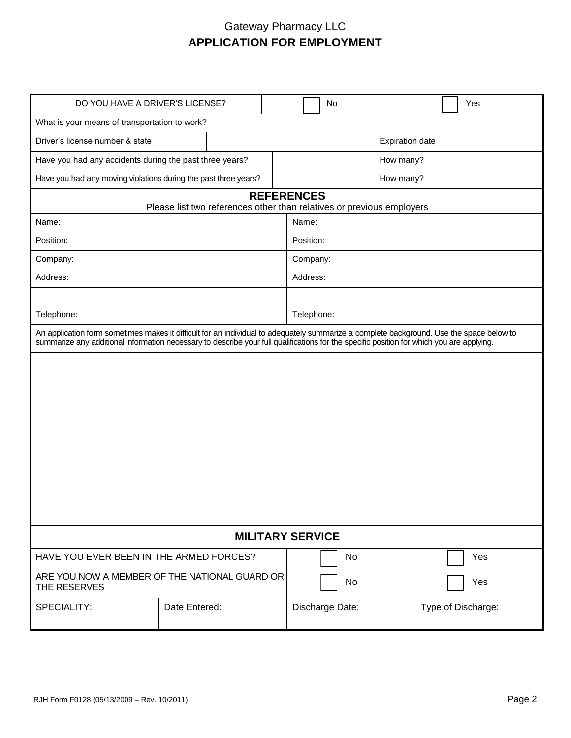| DO YOU HAVE A DRIVER'S LICENSE?                                                                                                                                                                                                                                                       |                                                                                            |  |  | <b>No</b>       |                        |           |  |                    | Yes |  |     |
|---------------------------------------------------------------------------------------------------------------------------------------------------------------------------------------------------------------------------------------------------------------------------------------|--------------------------------------------------------------------------------------------|--|--|-----------------|------------------------|-----------|--|--------------------|-----|--|-----|
| What is your means of transportation to work?                                                                                                                                                                                                                                         |                                                                                            |  |  |                 |                        |           |  |                    |     |  |     |
| Driver's license number & state                                                                                                                                                                                                                                                       |                                                                                            |  |  |                 | <b>Expiration date</b> |           |  |                    |     |  |     |
| Have you had any accidents during the past three years?                                                                                                                                                                                                                               |                                                                                            |  |  |                 |                        | How many? |  |                    |     |  |     |
| Have you had any moving violations during the past three years?                                                                                                                                                                                                                       |                                                                                            |  |  |                 |                        | How many? |  |                    |     |  |     |
|                                                                                                                                                                                                                                                                                       | <b>REFERENCES</b><br>Please list two references other than relatives or previous employers |  |  |                 |                        |           |  |                    |     |  |     |
| Name:                                                                                                                                                                                                                                                                                 |                                                                                            |  |  | Name:           |                        |           |  |                    |     |  |     |
| Position:                                                                                                                                                                                                                                                                             |                                                                                            |  |  | Position:       |                        |           |  |                    |     |  |     |
| Company:                                                                                                                                                                                                                                                                              |                                                                                            |  |  | Company:        |                        |           |  |                    |     |  |     |
| Address:                                                                                                                                                                                                                                                                              |                                                                                            |  |  | Address:        |                        |           |  |                    |     |  |     |
|                                                                                                                                                                                                                                                                                       |                                                                                            |  |  |                 |                        |           |  |                    |     |  |     |
| Telephone:                                                                                                                                                                                                                                                                            |                                                                                            |  |  | Telephone:      |                        |           |  |                    |     |  |     |
| An application form sometimes makes it difficult for an individual to adequately summarize a complete background. Use the space below to<br>summarize any additional information necessary to describe your full qualifications for the specific position for which you are applying. |                                                                                            |  |  |                 |                        |           |  |                    |     |  |     |
|                                                                                                                                                                                                                                                                                       |                                                                                            |  |  |                 |                        |           |  |                    |     |  |     |
| <b>MILITARY SERVICE</b>                                                                                                                                                                                                                                                               |                                                                                            |  |  |                 |                        |           |  |                    |     |  |     |
| HAVE YOU EVER BEEN IN THE ARMED FORCES?                                                                                                                                                                                                                                               |                                                                                            |  |  |                 |                        | No        |  |                    |     |  | Yes |
| ARE YOU NOW A MEMBER OF THE NATIONAL GUARD OR<br>THE RESERVES                                                                                                                                                                                                                         |                                                                                            |  |  |                 | No                     |           |  |                    |     |  | Yes |
| SPECIALITY:                                                                                                                                                                                                                                                                           | Date Entered:                                                                              |  |  | Discharge Date: |                        |           |  | Type of Discharge: |     |  |     |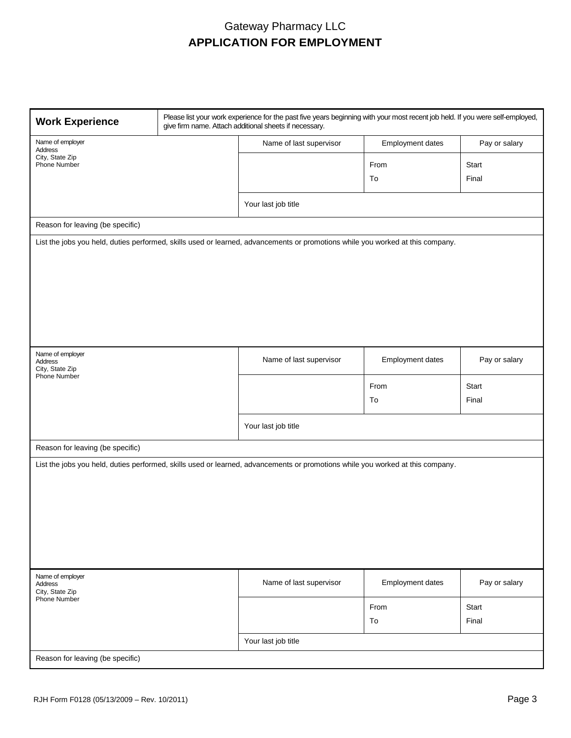| <b>Work Experience</b>                                | Please list your work experience for the past five years beginning with your most recent job held. If you were self-employed,<br>give firm name. Attach additional sheets if necessary. |                  |               |  |  |  |  |  |
|-------------------------------------------------------|-----------------------------------------------------------------------------------------------------------------------------------------------------------------------------------------|------------------|---------------|--|--|--|--|--|
| Name of employer<br>Address                           | Name of last supervisor                                                                                                                                                                 | Employment dates | Pay or salary |  |  |  |  |  |
| City, State Zip<br>Phone Number                       |                                                                                                                                                                                         | From             | Start         |  |  |  |  |  |
|                                                       |                                                                                                                                                                                         | To               | Final         |  |  |  |  |  |
|                                                       |                                                                                                                                                                                         |                  |               |  |  |  |  |  |
|                                                       | Your last job title                                                                                                                                                                     |                  |               |  |  |  |  |  |
| Reason for leaving (be specific)                      |                                                                                                                                                                                         |                  |               |  |  |  |  |  |
|                                                       | List the jobs you held, duties performed, skills used or learned, advancements or promotions while you worked at this company.                                                          |                  |               |  |  |  |  |  |
| Name of employer<br><b>Address</b><br>City, State Zip | Name of last supervisor                                                                                                                                                                 | Employment dates | Pay or salary |  |  |  |  |  |
| <b>Phone Number</b>                                   |                                                                                                                                                                                         | From             | Start         |  |  |  |  |  |
|                                                       |                                                                                                                                                                                         | To               | Final         |  |  |  |  |  |
|                                                       | Your last job title                                                                                                                                                                     |                  |               |  |  |  |  |  |
| Reason for leaving (be specific)                      |                                                                                                                                                                                         |                  |               |  |  |  |  |  |
|                                                       | List the jobs you held, duties performed, skills used or learned, advancements or promotions while you worked at this company.                                                          |                  |               |  |  |  |  |  |
| Name of employer<br>Address<br>City, State Zip        | Name of last supervisor                                                                                                                                                                 | Employment dates | Pay or salary |  |  |  |  |  |
| Phone Number                                          |                                                                                                                                                                                         | From             | Start         |  |  |  |  |  |
|                                                       |                                                                                                                                                                                         | To               | Final         |  |  |  |  |  |
|                                                       | Your last job title                                                                                                                                                                     |                  |               |  |  |  |  |  |
| Reason for leaving (be specific)                      |                                                                                                                                                                                         |                  |               |  |  |  |  |  |